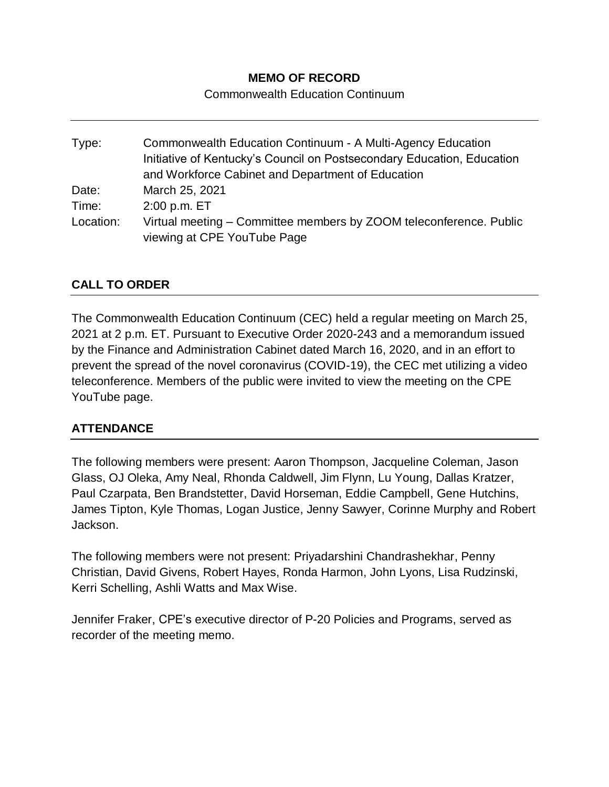# **MEMO OF RECORD**

Commonwealth Education Continuum

Type: Commonwealth Education Continuum - A Multi-Agency Education Initiative of Kentucky's Council on Postsecondary Education, Education and Workforce Cabinet and Department of Education Date: March 25, 2021 Time: 2:00 p.m. ET Location: Virtual meeting – Committee members by ZOOM teleconference. Public viewing at CPE YouTube Page

# **CALL TO ORDER**

The Commonwealth Education Continuum (CEC) held a regular meeting on March 25, 2021 at 2 p.m. ET. Pursuant to Executive Order 2020-243 and a memorandum issued by the Finance and Administration Cabinet dated March 16, 2020, and in an effort to prevent the spread of the novel coronavirus (COVID-19), the CEC met utilizing a video teleconference. Members of the public were invited to view the meeting on the CPE YouTube page.

## **ATTENDANCE**

The following members were present: Aaron Thompson, Jacqueline Coleman, Jason Glass, OJ Oleka, Amy Neal, Rhonda Caldwell, Jim Flynn, Lu Young, Dallas Kratzer, Paul Czarpata, Ben Brandstetter, David Horseman, Eddie Campbell, Gene Hutchins, James Tipton, Kyle Thomas, Logan Justice, Jenny Sawyer, Corinne Murphy and Robert Jackson.

The following members were not present: Priyadarshini Chandrashekhar, Penny Christian, David Givens, Robert Hayes, Ronda Harmon, John Lyons, Lisa Rudzinski, Kerri Schelling, Ashli Watts and Max Wise.

Jennifer Fraker, CPE's executive director of P-20 Policies and Programs, served as recorder of the meeting memo.